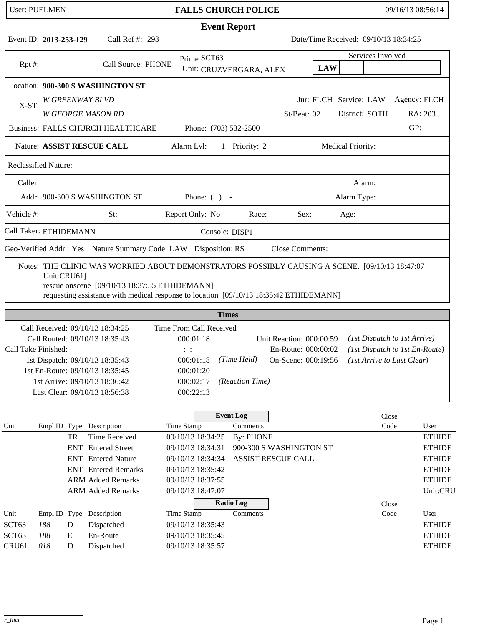|                             | <b>User: PUELMEN</b> |           |                                                                                                                                         | <b>FALLS CHURCH POLICE</b> |                                      |              |                                                                                                                   |  |                                       |                          |        | 09/16/13 08:56:14 |                            |               |
|-----------------------------|----------------------|-----------|-----------------------------------------------------------------------------------------------------------------------------------------|----------------------------|--------------------------------------|--------------|-------------------------------------------------------------------------------------------------------------------|--|---------------------------------------|--------------------------|--------|-------------------|----------------------------|---------------|
|                             |                      |           |                                                                                                                                         |                            |                                      |              | <b>Event Report</b>                                                                                               |  |                                       |                          |        |                   |                            |               |
| Event ID: 2013-253-129      |                      |           | Call Ref #: 293                                                                                                                         |                            |                                      |              |                                                                                                                   |  | Date/Time Received: 09/10/13 18:34:25 |                          |        |                   |                            |               |
|                             |                      |           |                                                                                                                                         |                            | Prime SCT63                          |              |                                                                                                                   |  |                                       |                          |        | Services Involved |                            |               |
| $Rpt$ #:                    |                      |           | Call Source: PHONE                                                                                                                      |                            |                                      |              | Unit: CRUZVERGARA, ALEX                                                                                           |  | <b>LAW</b>                            |                          |        |                   |                            |               |
|                             |                      |           | Location: 900-300 S WASHINGTON ST                                                                                                       |                            |                                      |              |                                                                                                                   |  |                                       |                          |        |                   |                            |               |
| $X-ST$ :                    |                      |           | W GREENWAY BLVD                                                                                                                         |                            |                                      |              |                                                                                                                   |  | Jur: FLCH Service: LAW                |                          |        |                   |                            | Agency: FLCH  |
|                             |                      |           | <b>W GEORGE MASON RD</b>                                                                                                                |                            |                                      |              |                                                                                                                   |  | St/Beat: 02                           |                          |        | District: SOTH    |                            | RA: 203       |
|                             |                      |           | <b>Business: FALLS CHURCH HEALTHCARE</b>                                                                                                |                            | Phone: (703) 532-2500                |              |                                                                                                                   |  |                                       |                          |        |                   | GP:                        |               |
|                             |                      |           | Nature: ASSIST RESCUE CALL                                                                                                              |                            | Alarm Lvl:                           |              | 1 Priority: 2                                                                                                     |  |                                       | <b>Medical Priority:</b> |        |                   |                            |               |
| <b>Reclassified Nature:</b> |                      |           |                                                                                                                                         |                            |                                      |              |                                                                                                                   |  |                                       |                          |        |                   |                            |               |
| Caller:                     |                      |           |                                                                                                                                         |                            |                                      |              |                                                                                                                   |  |                                       |                          | Alarm: |                   |                            |               |
|                             |                      |           | Addr: 900-300 S WASHINGTON ST                                                                                                           | Phone: $( )$ -             |                                      |              |                                                                                                                   |  | Alarm Type:                           |                          |        |                   |                            |               |
| Vehicle #:                  |                      |           | St:                                                                                                                                     |                            | Report Only: No                      |              | Race:                                                                                                             |  | Sex:                                  | Age:                     |        |                   |                            |               |
| Call Taker: ETHIDEMANN      |                      |           |                                                                                                                                         |                            |                                      |              | Console: DISP1                                                                                                    |  |                                       |                          |        |                   |                            |               |
|                             |                      |           | Geo-Verified Addr.: Yes Nature Summary Code: LAW Disposition: RS                                                                        |                            |                                      |              |                                                                                                                   |  | <b>Close Comments:</b>                |                          |        |                   |                            |               |
|                             |                      |           | rescue onscene [09/10/13 18:37:55 ETHIDEMANN]<br>requesting assistance with medical response to location [09/10/13 18:35:42 ETHIDEMANN] |                            |                                      |              |                                                                                                                   |  |                                       |                          |        |                   |                            |               |
|                             |                      |           |                                                                                                                                         |                            |                                      | <b>Times</b> |                                                                                                                   |  |                                       |                          |        |                   |                            |               |
|                             |                      |           | Call Received: 09/10/13 18:34:25<br>Call Routed: 09/10/13 18:35:43                                                                      |                            | Time From Call Received<br>000:01:18 |              |                                                                                                                   |  |                                       |                          |        |                   |                            |               |
| Call Take Finished:         |                      |           |                                                                                                                                         |                            | $\vdots$ :                           |              | (1st Dispatch to 1st Arrive)<br>Unit Reaction: 000:00:59<br>En-Route: 000:00:02<br>(1st Dispatch to 1st En-Route) |  |                                       |                          |        |                   |                            |               |
|                             |                      |           | 1st Dispatch: 09/10/13 18:35:43                                                                                                         |                            | 000:01:18                            |              | (Time Held)                                                                                                       |  | On-Scene: 000:19:56                   |                          |        |                   | (1st Arrive to Last Clear) |               |
|                             |                      |           | 1st En-Route: 09/10/13 18:35:45                                                                                                         |                            | 000:01:20                            |              |                                                                                                                   |  |                                       |                          |        |                   |                            |               |
|                             |                      |           | 1st Arrive: 09/10/13 18:36:42                                                                                                           |                            | 000:02:17                            |              | (Reaction Time)                                                                                                   |  |                                       |                          |        |                   |                            |               |
|                             |                      |           | Last Clear: 09/10/13 18:56:38                                                                                                           |                            | 000:22:13                            |              |                                                                                                                   |  |                                       |                          |        |                   |                            |               |
|                             |                      |           |                                                                                                                                         |                            |                                      |              | <b>Event Log</b>                                                                                                  |  |                                       |                          |        | Close             |                            |               |
| Unit                        |                      |           | Empl ID Type Description                                                                                                                |                            | Time Stamp                           |              | Comments                                                                                                          |  |                                       |                          |        | Code              |                            | User          |
|                             |                      | TR        | <b>Time Received</b>                                                                                                                    |                            | 09/10/13 18:34:25                    |              | <b>By: PHONE</b>                                                                                                  |  |                                       |                          |        |                   |                            | <b>ETHIDE</b> |
|                             |                      | ENT       | <b>Entered Street</b>                                                                                                                   |                            | 09/10/13 18:34:31                    |              |                                                                                                                   |  | 900-300 S WASHINGTON ST               |                          |        |                   |                            | <b>ETHIDE</b> |
|                             |                      |           | <b>ENT</b> Entered Nature                                                                                                               |                            | 09/10/13 18:34:34                    |              | ASSIST RESCUE CALL                                                                                                |  |                                       |                          |        |                   |                            | <b>ETHIDE</b> |
|                             |                      |           | <b>ENT</b> Entered Remarks                                                                                                              |                            | 09/10/13 18:35:42                    |              |                                                                                                                   |  |                                       |                          |        |                   |                            | <b>ETHIDE</b> |
|                             |                      |           | <b>ARM Added Remarks</b>                                                                                                                |                            | 09/10/13 18:37:55                    |              |                                                                                                                   |  |                                       |                          |        |                   |                            | <b>ETHIDE</b> |
|                             |                      |           | <b>ARM Added Remarks</b>                                                                                                                |                            | 09/10/13 18:47:07                    |              |                                                                                                                   |  |                                       |                          |        |                   |                            | Unit:CRU      |
| Unit                        |                      |           | Empl ID Type Description                                                                                                                |                            | Time Stamp                           |              | <b>Radio Log</b><br>Comments                                                                                      |  |                                       |                          |        | Close<br>Code     |                            | User          |
| SCT63                       | 188                  | ${\bf D}$ | Dispatched                                                                                                                              |                            | 09/10/13 18:35:43                    |              |                                                                                                                   |  |                                       |                          |        |                   |                            | <b>ETHIDE</b> |
| SCT <sub>63</sub>           | 188                  | E         | En-Route                                                                                                                                |                            | 09/10/13 18:35:45                    |              |                                                                                                                   |  |                                       |                          |        |                   |                            | <b>ETHIDE</b> |
| CRU61                       | 018                  | D         | Dispatched                                                                                                                              |                            | 09/10/13 18:35:57                    |              |                                                                                                                   |  |                                       |                          |        |                   |                            | <b>ETHIDE</b> |
|                             |                      |           |                                                                                                                                         |                            |                                      |              |                                                                                                                   |  |                                       |                          |        |                   |                            |               |